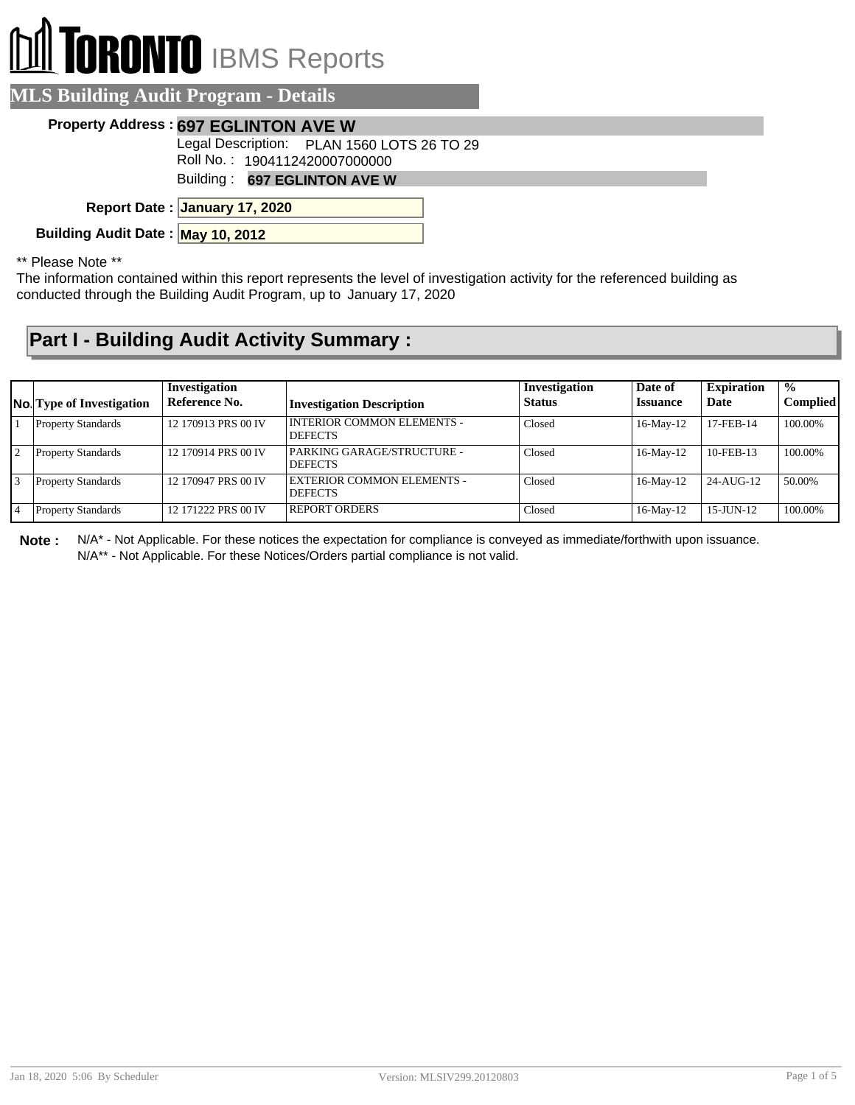## **I TORONTO** IBMS Reports

| <b>MLS Building Audit Program - Details</b> |                                                                             |  |
|---------------------------------------------|-----------------------------------------------------------------------------|--|
|                                             | Property Address: 697 EGLINTON AVE W                                        |  |
|                                             | Legal Description: PLAN 1560 LOTS 26 TO 29<br>Roll No.: 1904112420007000000 |  |
|                                             | Building: 697 EGLINTON AVE W                                                |  |
|                                             | Report Date: January 17, 2020                                               |  |
| Building Audit Date: May 10, 2012           |                                                                             |  |
| $**$ Dloggo Note $**$                       |                                                                             |  |

\* Please Note

The information contained within this report represents the level of investigation activity for the referenced building as conducted through the Building Audit Program, up to January 17, 2020

## **Part I - Building Audit Activity Summary :**

|                 | <b>No.</b> Type of Investigation | Investigation<br>Reference No. | <b>Investigation Description</b>                    | Investigation<br><b>Status</b> | Date of<br><i><b>Issuance</b></i> | <b>Expiration</b><br>Date | $\frac{0}{0}$<br><b>Complied</b> |
|-----------------|----------------------------------|--------------------------------|-----------------------------------------------------|--------------------------------|-----------------------------------|---------------------------|----------------------------------|
|                 | <b>Property Standards</b>        | 12 170913 PRS 00 IV            | <b>INTERIOR COMMON ELEMENTS -</b><br><b>DEFECTS</b> | Closed                         | 16-May-12                         | 17-FEB-14                 | 100.00%                          |
| $\overline{12}$ | <b>Property Standards</b>        | 12 170914 PRS 00 IV            | PARKING GARAGE/STRUCTURE -<br><b>DEFECTS</b>        | Closed                         | $16$ -May- $12$                   | $10$ -FEB-13              | 100.00%                          |
|                 | <b>Property Standards</b>        | 12 170947 PRS 00 IV            | EXTERIOR COMMON ELEMENTS -<br><b>DEFECTS</b>        | Closed                         | $16$ -May- $12$                   | 24-AUG-12                 | 50.00%                           |
|                 | <b>Property Standards</b>        | 12 171222 PRS 00 IV            | <b>REPORT ORDERS</b>                                | Closed                         | $16$ -May- $12$                   | $15$ -JUN- $12$           | 100.00%                          |

**Note :** N/A\* - Not Applicable. For these notices the expectation for compliance is conveyed as immediate/forthwith upon issuance. N/A\*\* - Not Applicable. For these Notices/Orders partial compliance is not valid.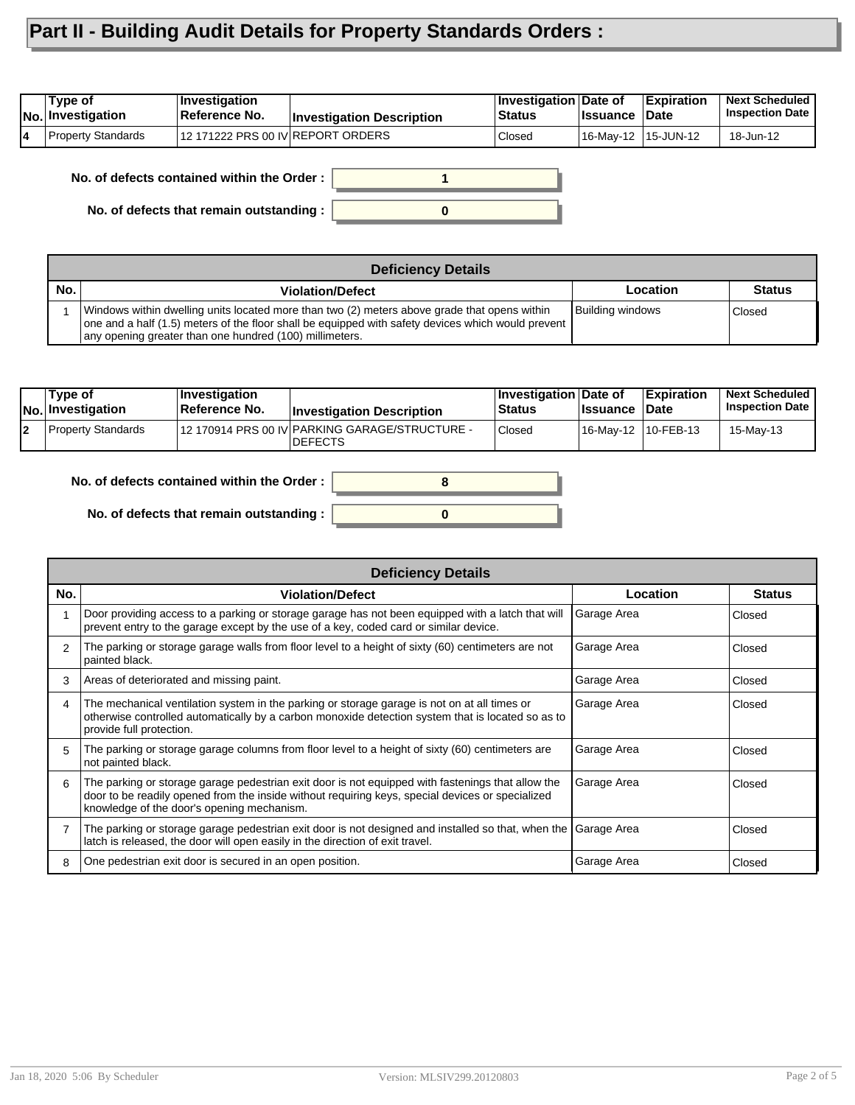## **Part II - Building Audit Details for Property Standards Orders :**

| Type of<br> No. Investigation | ∣Investiqation<br><b>∣Reference No.</b> | <b>Investigation Description</b> | <b>Investigation Date of</b><br><b>Status</b> | <b>I</b> ssuance    | ∣Expiration<br><b>∣Date</b> | <b>Next Scheduled</b><br><b>Inspection Date</b> |
|-------------------------------|-----------------------------------------|----------------------------------|-----------------------------------------------|---------------------|-----------------------------|-------------------------------------------------|
| <b>Property Standards</b>     | 12 171222 PRS 00 IV REPORT ORDERS       |                                  | Closed                                        | 16-May-12 15-JUN-12 |                             | 18-Jun-12                                       |

**1 No. of defects contained within the Order :**

**No. of defects that remain outstanding :**



|     | <b>Deficiency Details</b>                                                                                                                                                                                                                                     |                  |               |  |  |  |
|-----|---------------------------------------------------------------------------------------------------------------------------------------------------------------------------------------------------------------------------------------------------------------|------------------|---------------|--|--|--|
| No. | <b>Violation/Defect</b>                                                                                                                                                                                                                                       | Location         | <b>Status</b> |  |  |  |
|     | Windows within dwelling units located more than two (2) meters above grade that opens within<br>one and a half (1.5) meters of the floor shall be equipped with safety devices which would prevent<br>any opening greater than one hundred (100) millimeters. | Building windows | Closed        |  |  |  |

|        | Type of<br>No. Investigation | <b>Investigation</b><br><b>Reference No.</b> | <b>Investigation Description</b>                                 | Investigation Date of<br><b>Status</b> | <b>Issuance Date</b> | <b>Expiration</b> | <b>Next Scheduled</b><br><b>Inspection Date I</b> |
|--------|------------------------------|----------------------------------------------|------------------------------------------------------------------|----------------------------------------|----------------------|-------------------|---------------------------------------------------|
| $\sim$ | Property Standards           |                                              | 12 170914 PRS 00 IV PARKING GARAGE/STRUCTURE -<br><b>DEFECTS</b> | Closed                                 | 16-May-12 10-FEB-13  |                   | 15-Mav-13                                         |

**0**

**8**

| No. of defects contained within the Order : $\vert$ |  |
|-----------------------------------------------------|--|
|                                                     |  |

**No. of defects that remain outstanding :**

|     | <b>Deficiency Details</b>                                                                                                                                                                                                                           |             |               |  |  |  |
|-----|-----------------------------------------------------------------------------------------------------------------------------------------------------------------------------------------------------------------------------------------------------|-------------|---------------|--|--|--|
| No. | <b>Violation/Defect</b>                                                                                                                                                                                                                             | Location    | <b>Status</b> |  |  |  |
|     | Door providing access to a parking or storage garage has not been equipped with a latch that will<br>prevent entry to the garage except by the use of a key, coded card or similar device.                                                          | Garage Area | Closed        |  |  |  |
| 2   | The parking or storage garage walls from floor level to a height of sixty (60) centimeters are not<br>painted black.                                                                                                                                | Garage Area | Closed        |  |  |  |
| 3   | Areas of deteriorated and missing paint.                                                                                                                                                                                                            | Garage Area | Closed        |  |  |  |
| 4   | The mechanical ventilation system in the parking or storage garage is not on at all times or<br>otherwise controlled automatically by a carbon monoxide detection system that is located so as to<br>provide full protection.                       | Garage Area | Closed        |  |  |  |
| 5   | The parking or storage garage columns from floor level to a height of sixty (60) centimeters are<br>not painted black.                                                                                                                              | Garage Area | Closed        |  |  |  |
| 6   | The parking or storage garage pedestrian exit door is not equipped with fastenings that allow the<br>door to be readily opened from the inside without requiring keys, special devices or specialized<br>knowledge of the door's opening mechanism. | Garage Area | Closed        |  |  |  |
|     | The parking or storage garage pedestrian exit door is not designed and installed so that, when the Garage Area<br>latch is released, the door will open easily in the direction of exit travel.                                                     |             | Closed        |  |  |  |
| 8   | One pedestrian exit door is secured in an open position.                                                                                                                                                                                            | Garage Area | Closed        |  |  |  |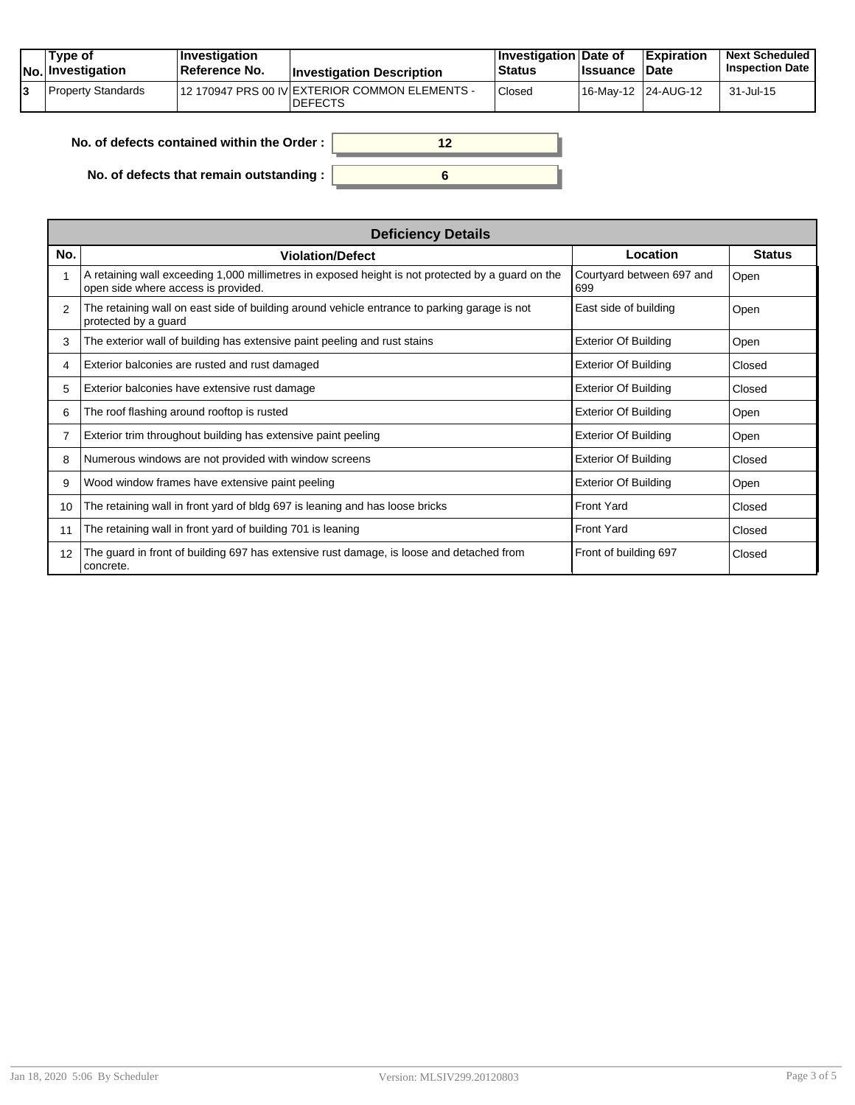| Type of<br>$ No $ Investigation | $\vert$ Investigation<br><b>Reference No.</b> | <b>Investigation Description</b>                                 | <b>∐nvestigation Date of</b><br><b>Status</b> | <b>Ilssuance Date</b> | Expiration          | <b>Next Scheduled</b><br><b>Inspection Date</b> |
|---------------------------------|-----------------------------------------------|------------------------------------------------------------------|-----------------------------------------------|-----------------------|---------------------|-------------------------------------------------|
| Property Standards              |                                               | 12 170947 PRS 00 IV EXTERIOR COMMON ELEMENTS -<br><b>DEFECTS</b> | <b>Closed</b>                                 |                       | 16-May-12 24-AUG-12 | 31-Jul-15                                       |

| No. of defects contained within the Order: |  |
|--------------------------------------------|--|
| No. of defects that remain outstanding :   |  |

|                 | <b>Deficiency Details</b>                                                                                                                |                                  |               |  |  |  |  |  |
|-----------------|------------------------------------------------------------------------------------------------------------------------------------------|----------------------------------|---------------|--|--|--|--|--|
| No.             | <b>Violation/Defect</b>                                                                                                                  | Location                         | <b>Status</b> |  |  |  |  |  |
|                 | A retaining wall exceeding 1,000 millimetres in exposed height is not protected by a guard on the<br>open side where access is provided. | Courtyard between 697 and<br>699 | Open          |  |  |  |  |  |
| 2               | The retaining wall on east side of building around vehicle entrance to parking garage is not<br>protected by a guard                     | East side of building            | Open          |  |  |  |  |  |
| 3               | The exterior wall of building has extensive paint peeling and rust stains                                                                | <b>Exterior Of Building</b>      | Open          |  |  |  |  |  |
| 4               | Exterior balconies are rusted and rust damaged                                                                                           | <b>Exterior Of Building</b>      | Closed        |  |  |  |  |  |
| 5               | Exterior balconies have extensive rust damage                                                                                            | <b>Exterior Of Building</b>      | Closed        |  |  |  |  |  |
| 6               | The roof flashing around rooftop is rusted                                                                                               | <b>Exterior Of Building</b>      | Open          |  |  |  |  |  |
|                 | Exterior trim throughout building has extensive paint peeling                                                                            | <b>Exterior Of Building</b>      | Open          |  |  |  |  |  |
| 8               | Numerous windows are not provided with window screens                                                                                    | <b>Exterior Of Building</b>      | Closed        |  |  |  |  |  |
| 9               | Wood window frames have extensive paint peeling                                                                                          | <b>Exterior Of Building</b>      | Open          |  |  |  |  |  |
| 10 <sup>°</sup> | The retaining wall in front yard of bldg 697 is leaning and has loose bricks                                                             | <b>Front Yard</b>                | Closed        |  |  |  |  |  |
| 11              | The retaining wall in front yard of building 701 is leaning                                                                              | <b>Front Yard</b>                | Closed        |  |  |  |  |  |
| 12              | The guard in front of building 697 has extensive rust damage, is loose and detached from<br>concrete.                                    | Front of building 697            | Closed        |  |  |  |  |  |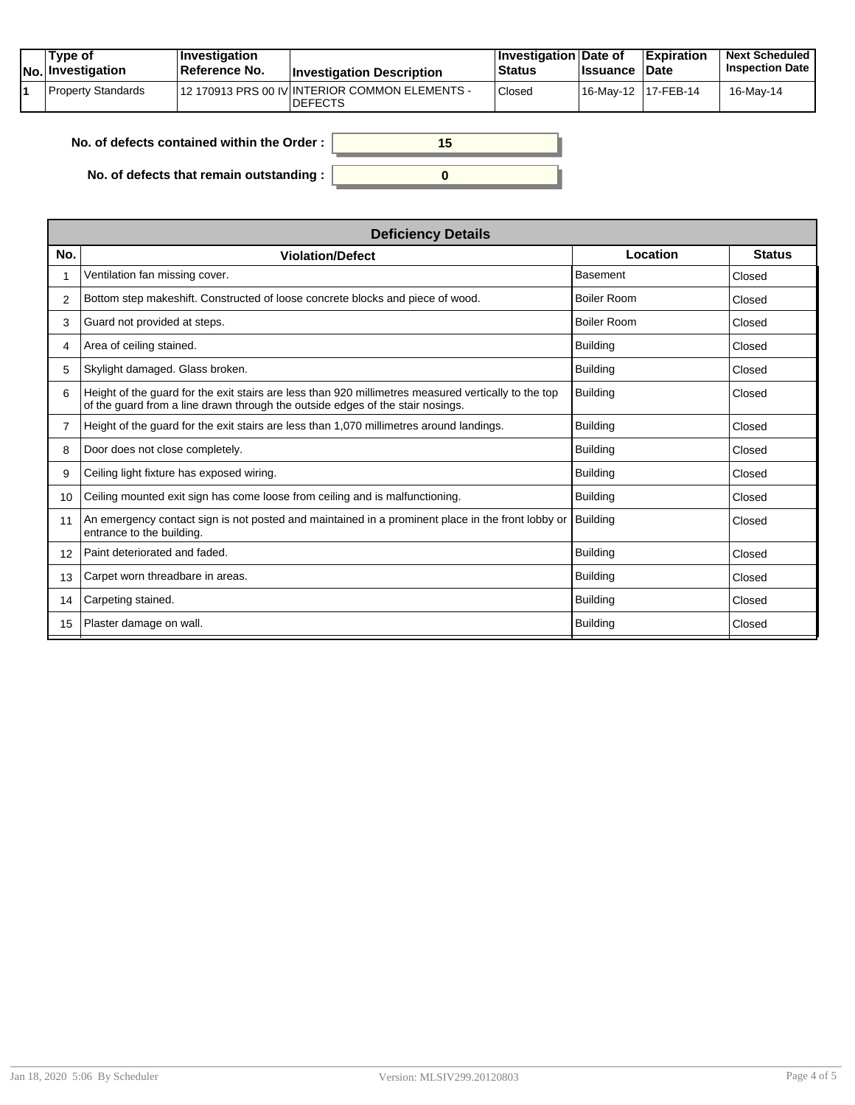|  | Tvpe of<br>$ No $ Investigation | <b>Investigation</b><br>⊺Reference No. | <b>Investigation Description</b>                                 | <b>Investigation Date of</b><br><b>Status</b> | <b>Ilssuance Date</b> | <b>Expiration</b> | <b>Next Scheduled</b><br><b>Inspection Date</b> |
|--|---------------------------------|----------------------------------------|------------------------------------------------------------------|-----------------------------------------------|-----------------------|-------------------|-------------------------------------------------|
|  | Property Standards              |                                        | 12 170913 PRS 00 IV INTERIOR COMMON ELEMENTS -<br><b>DEFECTS</b> | Closed                                        | 16-Mav-12 17-FEB-14   |                   | 16-Mav-14                                       |

| No. of defects contained within the Order: | 15 |
|--------------------------------------------|----|
| No. of defects that remain outstanding :   |    |

| <b>Deficiency Details</b>                                                                                                                                                              |                    |               |  |
|----------------------------------------------------------------------------------------------------------------------------------------------------------------------------------------|--------------------|---------------|--|
| <b>Violation/Defect</b>                                                                                                                                                                | Location           | <b>Status</b> |  |
| Ventilation fan missing cover.                                                                                                                                                         | <b>Basement</b>    | Closed        |  |
| Bottom step makeshift. Constructed of loose concrete blocks and piece of wood.                                                                                                         | <b>Boiler Room</b> | Closed        |  |
| Guard not provided at steps.                                                                                                                                                           | <b>Boiler Room</b> | Closed        |  |
| Area of ceiling stained.                                                                                                                                                               | <b>Building</b>    | Closed        |  |
| Skylight damaged. Glass broken.                                                                                                                                                        | <b>Building</b>    | Closed        |  |
| Height of the guard for the exit stairs are less than 920 millimetres measured vertically to the top<br>of the guard from a line drawn through the outside edges of the stair nosings. | <b>Building</b>    | Closed        |  |
| Height of the guard for the exit stairs are less than 1,070 millimetres around landings.                                                                                               | <b>Building</b>    | Closed        |  |
| Door does not close completely.                                                                                                                                                        | <b>Building</b>    | Closed        |  |
| Ceiling light fixture has exposed wiring.                                                                                                                                              | <b>Building</b>    | Closed        |  |
| Ceiling mounted exit sign has come loose from ceiling and is malfunctioning.                                                                                                           | <b>Building</b>    | Closed        |  |
| An emergency contact sign is not posted and maintained in a prominent place in the front lobby or<br>entrance to the building.                                                         | <b>Building</b>    | Closed        |  |
| Paint deteriorated and faded.                                                                                                                                                          | <b>Building</b>    | Closed        |  |
| Carpet worn threadbare in areas.                                                                                                                                                       | <b>Building</b>    | Closed        |  |
| Carpeting stained.                                                                                                                                                                     | <b>Building</b>    | Closed        |  |
| Plaster damage on wall.                                                                                                                                                                | <b>Building</b>    | Closed        |  |
|                                                                                                                                                                                        |                    |               |  |